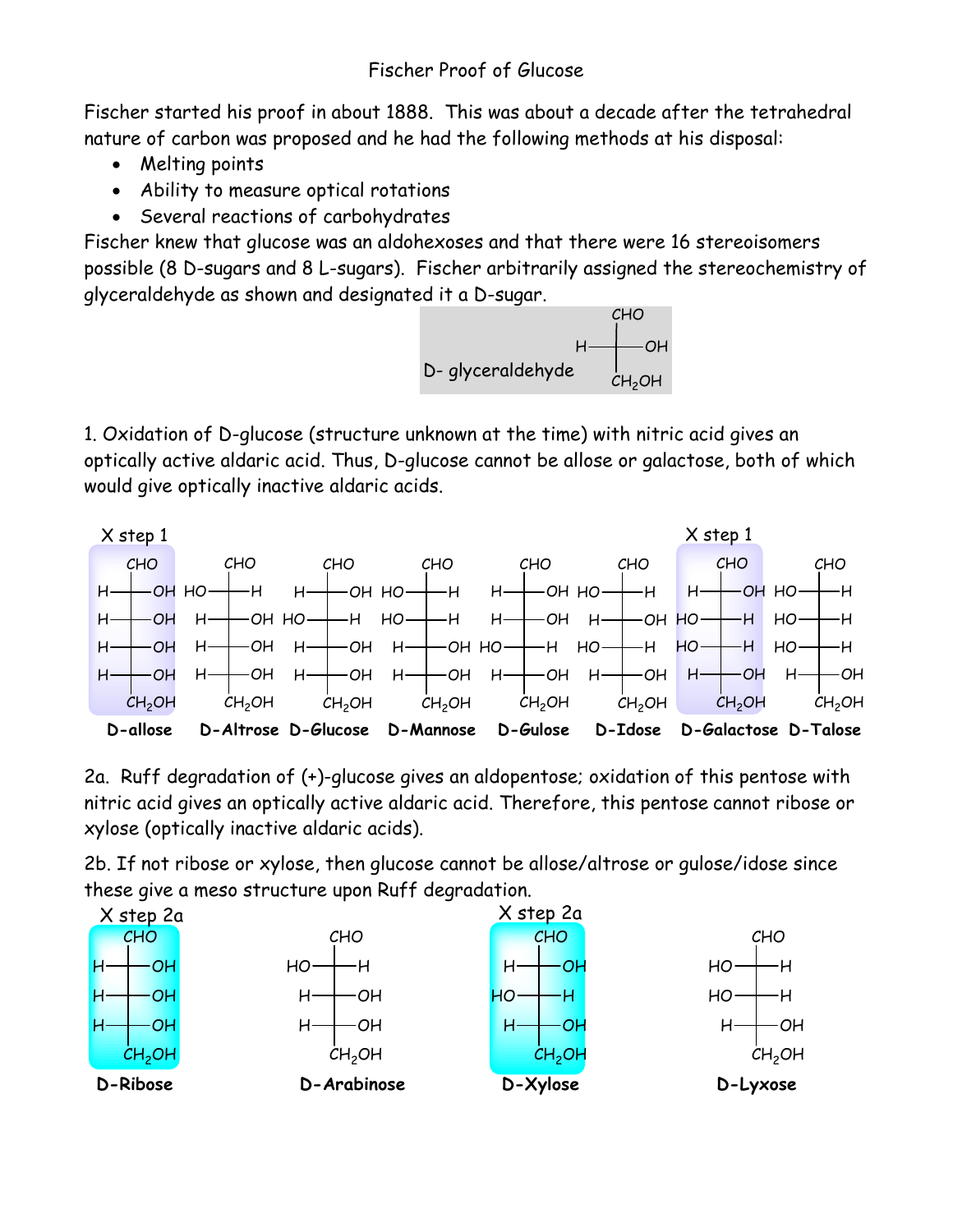Fischer started his proof in about 1888. This was about a decade after the tetrahedral nature of carbon was proposed and he had the following methods at his disposal:

- Melting points
- Ability to measure optical rotations
- Several reactions of carbohydrates

Fischer knew that glucose was an aldohexoses and that there were 16 stereoisomers possible (8 D-sugars and 8 L-sugars). Fischer arbitrarily assigned the stereochemistry of glyceraldehyde as shown and designated it a D-sugar.



1. Oxidation of D-glucose (structure unknown at the time) with nitric acid gives an optically active aldaric acid. Thus, D-glucose cannot be allose or galactose, both of which would give optically inactive aldaric acids.



2a. Ruff degradation of (+)-glucose gives an aldopentose; oxidation of this pentose with nitric acid gives an optically active aldaric acid. Therefore, this pentose cannot ribose or xylose (optically inactive aldaric acids).

2b. If not ribose or xylose, then glucose cannot be allose/altrose or gulose/idose since these give a meso structure upon Ruff degradation.